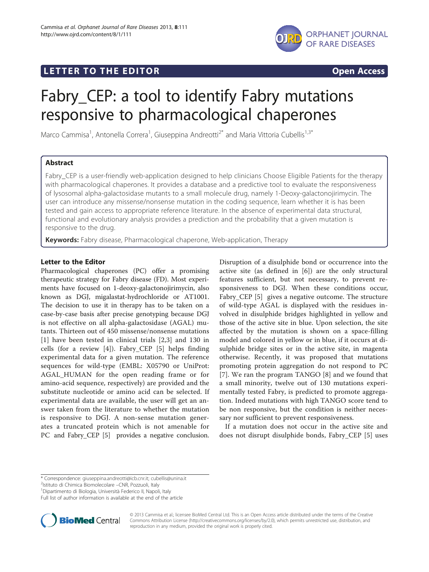## LETTER TO THE EDITOR **CONTROLL CONTROLLER TO THE EDITOR** CONTROLLER TO THE SECTION ACCESS



# Fabry\_CEP: a tool to identify Fabry mutations responsive to pharmacological chaperones

Marco Cammisa<sup>1</sup>, Antonella Correra<sup>1</sup>, Giuseppina Andreotti<sup>2\*</sup> and Maria Vittoria Cubellis<sup>1,3\*</sup>

## Abstract

Fabry CEP is a user-friendly web-application designed to help clinicians Choose Eligible Patients for the therapy with pharmacological chaperones. It provides a database and a predictive tool to evaluate the responsiveness of lysosomal alpha-galactosidase mutants to a small molecule drug, namely 1-Deoxy-galactonojirimycin. The user can introduce any missense/nonsense mutation in the coding sequence, learn whether it is has been tested and gain access to appropriate reference literature. In the absence of experimental data structural, functional and evolutionary analysis provides a prediction and the probability that a given mutation is responsive to the drug.

Keywords: Fabry disease, Pharmacological chaperone, Web-application, Therapy

## Letter to the Editor

Pharmacological chaperones (PC) offer a promising therapeutic strategy for Fabry disease (FD). Most experiments have focused on 1-deoxy-galactonojirimycin, also known as DGJ, migalastat-hydrochloride or AT1001. The decision to use it in therapy has to be taken on a case-by-case basis after precise genotyping because DGJ is not effective on all alpha-galactosidase (AGAL) mutants. Thirteen out of 450 missense/nonsense mutations [[1\]](#page-2-0) have been tested in clinical trials [[2,3\]](#page-2-0) and 130 in cells (for a review [[4\]](#page-2-0)). Fabry\_CEP [\[5](#page-2-0)] helps finding experimental data for a given mutation. The reference sequences for wild-type (EMBL: X05790 or UniProt: AGAL\_HUMAN for the open reading frame or for amino-acid sequence, respectively) are provided and the substitute nucleotide or amino acid can be selected. If experimental data are available, the user will get an answer taken from the literature to whether the mutation is responsive to DGJ. A non-sense mutation generates a truncated protein which is not amenable for PC and Fabry\_CEP [\[5](#page-2-0)] provides a negative conclusion.

Disruption of a disulphide bond or occurrence into the active site (as defined in [\[6](#page-2-0)]) are the only structural features sufficient, but not necessary, to prevent responsiveness to DGJ. When these conditions occur, Fabry CEP [[5\]](#page-2-0) gives a negative outcome. The structure of wild-type AGAL is displayed with the residues involved in disulphide bridges highlighted in yellow and those of the active site in blue. Upon selection, the site affected by the mutation is shown on a space-filling model and colored in yellow or in blue, if it occurs at disulphide bridge sites or in the active site, in magenta otherwise. Recently, it was proposed that mutations promoting protein aggregation do not respond to PC [[7](#page-2-0)]. We ran the program TANGO [[8\]](#page-2-0) and we found that a small minority, twelve out of 130 mutations experimentally tested Fabry, is predicted to promote aggregation. Indeed mutations with high TANGO score tend to be non responsive, but the condition is neither necessary nor sufficient to prevent responsiveness.

If a mutation does not occur in the active site and does not disrupt disulphide bonds, Fabry\_CEP [[5](#page-2-0)] uses

<sup>2</sup>Istituto di Chimica Biomolecolare –CNR, Pozzuoli, Italy

Full list of author information is available at the end of the article



© 2013 Cammisa et al.; licensee BioMed Central Ltd. This is an Open Access article distributed under the terms of the Creative Commons Attribution License [\(http://creativecommons.org/licenses/by/2.0\)](http://creativecommons.org/licenses/by/2.0), which permits unrestricted use, distribution, and reproduction in any medium, provided the original work is properly cited.

<sup>\*</sup> Correspondence: [giuseppina.andreotti@icb.cnr.it](mailto:giuseppina.andreotti@icb.cnr.it); [cubellis@unina.it](mailto:cubellis@unina.it) <sup>2</sup>

<sup>&</sup>lt;sup>1</sup> Dipartimento di Biologia, Università Federico II, Napoli, Italy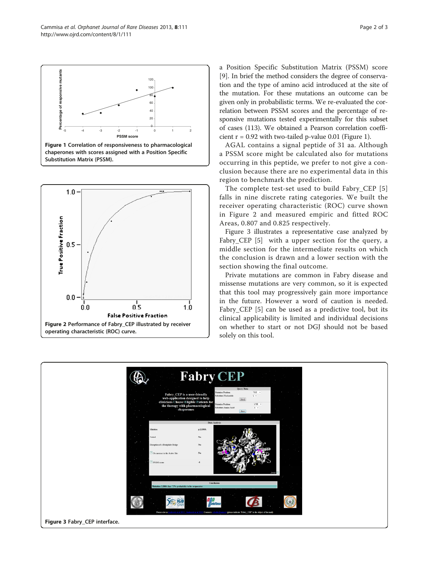







a Position Specific Substitution Matrix (PSSM) score [[9](#page-2-0)]. In brief the method considers the degree of conservation and the type of amino acid introduced at the site of the mutation. For these mutations an outcome can be given only in probabilistic terms. We re-evaluated the correlation between PSSM scores and the percentage of responsive mutations tested experimentally for this subset of cases (113). We obtained a Pearson correlation coefficient  $r = 0.92$  with two-tailed p-value 0.01 (Figure 1).

AGAL contains a signal peptide of 31 aa. Although a PSSM score might be calculated also for mutations occurring in this peptide, we prefer to not give a conclusion because there are no experimental data in this region to benchmark the prediction.

The complete test-set used to build Fabry\_CEP [[5](#page-2-0)] falls in nine discrete rating categories. We built the receiver operating characteristic (ROC) curve shown in Figure 2 and measured empiric and fitted ROC Areas, 0.807 and 0.825 respectively.

Figure 3 illustrates a representative case analyzed by Fabry\_CEP [[5\]](#page-2-0) with a upper section for the query, a middle section for the intermediate results on which the conclusion is drawn and a lower section with the section showing the final outcome.

Private mutations are common in Fabry disease and missense mutations are very common, so it is expected that this tool may progressively gain more importance in the future. However a word of caution is needed. Fabry\_CEP [\[5](#page-2-0)] can be used as a predictive tool, but its clinical applicability is limited and individual decisions on whether to start or not DGJ should not be based solely on this tool.